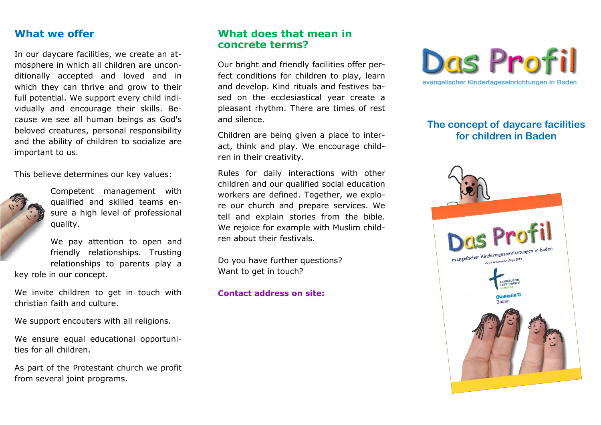### **What we offer**

In our daycare facilities, we create an atmosphere in which all children are unconditionally accepted and loved and in which they can thrive and grow to their full potential. We support every child individually and encourage their skills. Because we see all human beings as God's beloved creatures, personal responsibility and the ability of children to socialize are important to us.

This believe determines our key values:



Competent management with qualified and skilled teams ensure a high level of professional quality.

We pay attention to open and friendly relationships. Trusting relationships to parents play a key role in our concept.

We invite children to get in touch with

christian faith and culture.

We support encouters with all religions.

We ensure equal educational opportunities for all children.

As part of the Protestant church we profit from several joint programs.

## **What does that mean in concrete terms?**

Our bright and friendly facilities offer perfect conditions for children to play, learn and develop. Kind rituals and festives based on the ecclesiastical year create a pleasant rhythm. There are times of rest and silence.

Children are being given a place to interact, think and play. We encourage children in their creativity.

Rules for daily interactions with other children and our qualified social education workers are defined. Together, we explore our church and prepare services. We tell and explain stories from the bible. We rejoice for example with Muslim children about their festivals.

Do you have further questions? Want to get in touch?

#### **Contact address on site:**



# **The concept of daycare facilities for children in Baden**